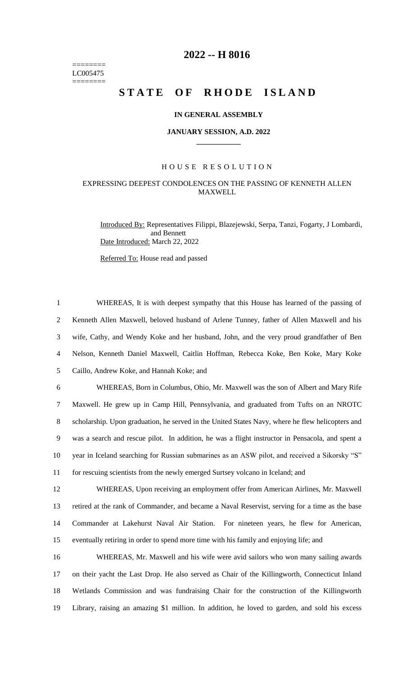======== LC005475 ========

## **2022 -- H 8016**

# **STATE OF RHODE ISLAND**

#### **IN GENERAL ASSEMBLY**

#### **JANUARY SESSION, A.D. 2022 \_\_\_\_\_\_\_\_\_\_\_\_**

#### H O U S E R E S O L U T I O N

### EXPRESSING DEEPEST CONDOLENCES ON THE PASSING OF KENNETH ALLEN **MAXWELL**

Introduced By: Representatives Filippi, Blazejewski, Serpa, Tanzi, Fogarty, J Lombardi, and Bennett Date Introduced: March 22, 2022

Referred To: House read and passed

 WHEREAS, It is with deepest sympathy that this House has learned of the passing of Kenneth Allen Maxwell, beloved husband of Arlene Tunney, father of Allen Maxwell and his wife, Cathy, and Wendy Koke and her husband, John, and the very proud grandfather of Ben Nelson, Kenneth Daniel Maxwell, Caitlin Hoffman, Rebecca Koke, Ben Koke, Mary Koke Caillo, Andrew Koke, and Hannah Koke; and WHEREAS, Born in Columbus, Ohio, Mr. Maxwell was the son of Albert and Mary Rife

 Maxwell. He grew up in Camp Hill, Pennsylvania, and graduated from Tufts on an NROTC scholarship. Upon graduation, he served in the United States Navy, where he flew helicopters and was a search and rescue pilot. In addition, he was a flight instructor in Pensacola, and spent a year in Iceland searching for Russian submarines as an ASW pilot, and received a Sikorsky "S" for rescuing scientists from the newly emerged Surtsey volcano in Iceland; and

 WHEREAS, Upon receiving an employment offer from American Airlines, Mr. Maxwell retired at the rank of Commander, and became a Naval Reservist, serving for a time as the base Commander at Lakehurst Naval Air Station. For nineteen years, he flew for American, eventually retiring in order to spend more time with his family and enjoying life; and

 WHEREAS, Mr. Maxwell and his wife were avid sailors who won many sailing awards on their yacht the Last Drop. He also served as Chair of the Killingworth, Connecticut Inland Wetlands Commission and was fundraising Chair for the construction of the Killingworth Library, raising an amazing \$1 million. In addition, he loved to garden, and sold his excess